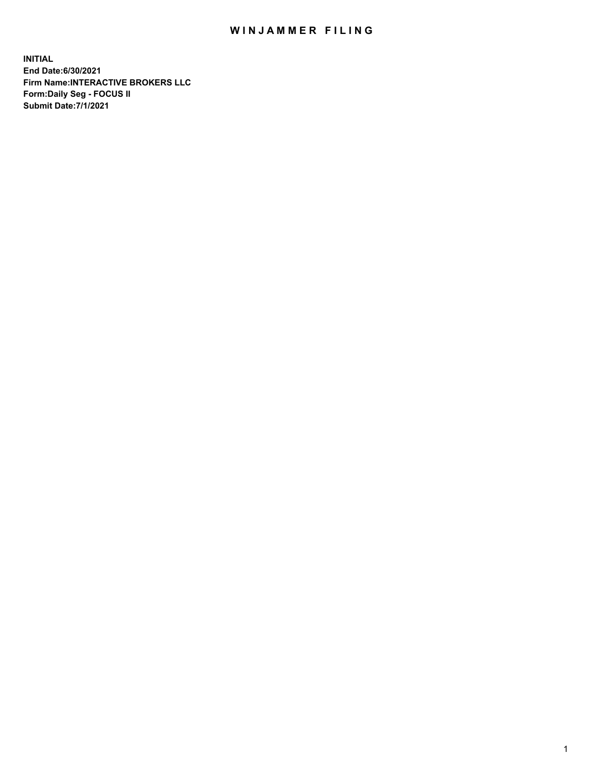## WIN JAMMER FILING

**INITIAL End Date:6/30/2021 Firm Name:INTERACTIVE BROKERS LLC Form:Daily Seg - FOCUS II Submit Date:7/1/2021**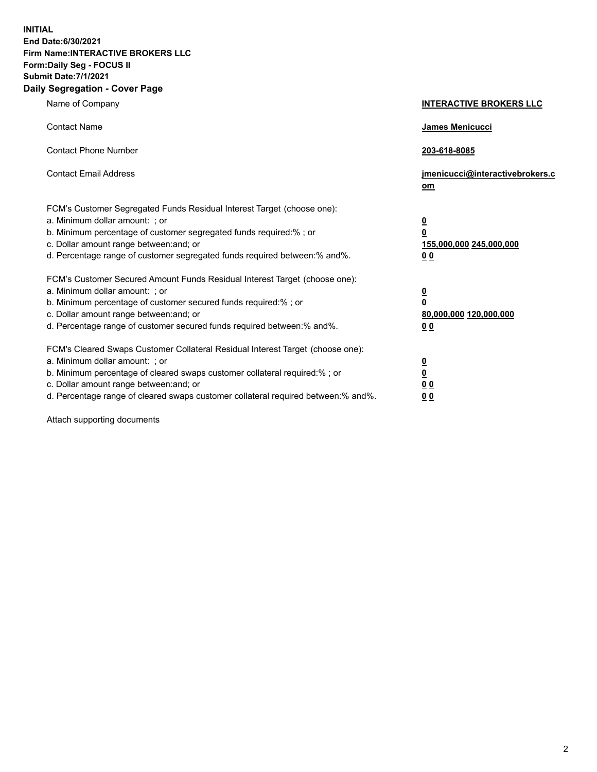**INITIAL End Date:6/30/2021 Firm Name:INTERACTIVE BROKERS LLC Form:Daily Seg - FOCUS II Submit Date:7/1/2021 Daily Segregation - Cover Page**

| Name of Company                                                                                                                                                                                                                                                                                                                | <b>INTERACTIVE BROKERS LLC</b>                                                                 |
|--------------------------------------------------------------------------------------------------------------------------------------------------------------------------------------------------------------------------------------------------------------------------------------------------------------------------------|------------------------------------------------------------------------------------------------|
| <b>Contact Name</b>                                                                                                                                                                                                                                                                                                            | James Menicucci                                                                                |
| <b>Contact Phone Number</b>                                                                                                                                                                                                                                                                                                    | 203-618-8085                                                                                   |
| <b>Contact Email Address</b>                                                                                                                                                                                                                                                                                                   | jmenicucci@interactivebrokers.c<br>om                                                          |
| FCM's Customer Segregated Funds Residual Interest Target (choose one):<br>a. Minimum dollar amount: ; or<br>b. Minimum percentage of customer segregated funds required:% ; or<br>c. Dollar amount range between: and; or<br>d. Percentage range of customer segregated funds required between:% and%.                         | $\overline{\mathbf{0}}$<br>$\overline{\mathbf{0}}$<br>155,000,000 245,000,000<br>00            |
| FCM's Customer Secured Amount Funds Residual Interest Target (choose one):<br>a. Minimum dollar amount: ; or<br>b. Minimum percentage of customer secured funds required:%; or<br>c. Dollar amount range between: and; or<br>d. Percentage range of customer secured funds required between:% and%.                            | $\overline{\mathbf{0}}$<br>$\overline{\mathbf{0}}$<br>80,000,000 120,000,000<br>0 <sub>0</sub> |
| FCM's Cleared Swaps Customer Collateral Residual Interest Target (choose one):<br>a. Minimum dollar amount: ; or<br>b. Minimum percentage of cleared swaps customer collateral required:% ; or<br>c. Dollar amount range between: and; or<br>d. Percentage range of cleared swaps customer collateral required between:% and%. | $\frac{0}{0}$<br>0 <sub>0</sub><br>0 <sub>0</sub>                                              |

Attach supporting documents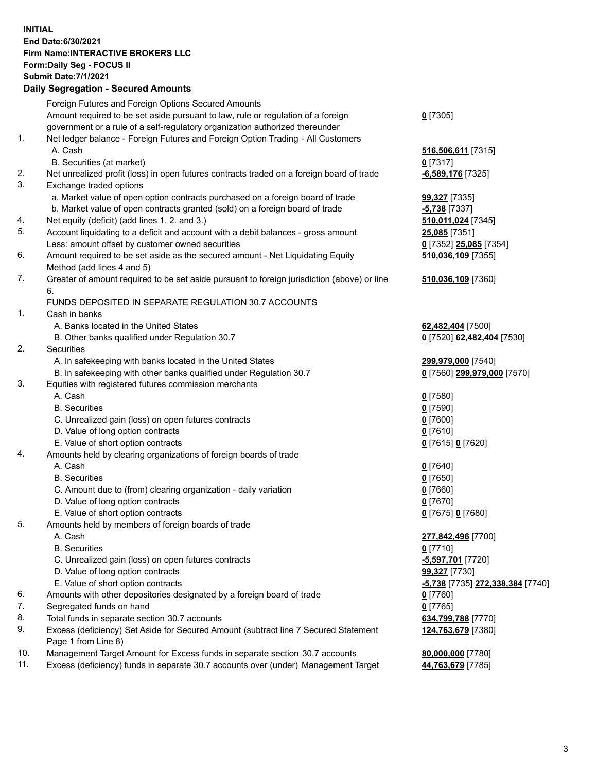**INITIAL End Date:6/30/2021 Firm Name:INTERACTIVE BROKERS LLC Form:Daily Seg - FOCUS II Submit Date:7/1/2021 Daily Segregation - Secured Amounts**

|          | Foreign Futures and Foreign Options Secured Amounts                                                        |                                  |
|----------|------------------------------------------------------------------------------------------------------------|----------------------------------|
|          | Amount required to be set aside pursuant to law, rule or regulation of a foreign                           | $0$ [7305]                       |
|          | government or a rule of a self-regulatory organization authorized thereunder                               |                                  |
| 1.       | Net ledger balance - Foreign Futures and Foreign Option Trading - All Customers                            |                                  |
|          | A. Cash                                                                                                    | 516,506,611 [7315]               |
|          | B. Securities (at market)                                                                                  | $0$ [7317]                       |
| 2.       | Net unrealized profit (loss) in open futures contracts traded on a foreign board of trade                  | -6,589,176 [7325]                |
| 3.       | Exchange traded options                                                                                    |                                  |
|          | a. Market value of open option contracts purchased on a foreign board of trade                             | 99,327 [7335]                    |
|          | b. Market value of open contracts granted (sold) on a foreign board of trade                               | -5,738 [7337]                    |
| 4.<br>5. | Net equity (deficit) (add lines 1. 2. and 3.)                                                              | 510,011,024 [7345]               |
|          | Account liquidating to a deficit and account with a debit balances - gross amount                          | 25,085 [7351]                    |
|          | Less: amount offset by customer owned securities                                                           | 0 [7352] 25,085 [7354]           |
| 6.       | Amount required to be set aside as the secured amount - Net Liquidating Equity                             | 510,036,109 [7355]               |
| 7.       | Method (add lines 4 and 5)                                                                                 |                                  |
|          | Greater of amount required to be set aside pursuant to foreign jurisdiction (above) or line<br>6.          | 510,036,109 [7360]               |
|          | FUNDS DEPOSITED IN SEPARATE REGULATION 30.7 ACCOUNTS                                                       |                                  |
| 1.       | Cash in banks                                                                                              |                                  |
|          | A. Banks located in the United States                                                                      | 62,482,404 [7500]                |
|          | B. Other banks qualified under Regulation 30.7                                                             | 0 [7520] 62,482,404 [7530]       |
| 2.       | Securities                                                                                                 |                                  |
|          | A. In safekeeping with banks located in the United States                                                  | 299,979,000 [7540]               |
|          | B. In safekeeping with other banks qualified under Regulation 30.7                                         | 0 [7560] 299,979,000 [7570]      |
| 3.       | Equities with registered futures commission merchants                                                      |                                  |
|          | A. Cash                                                                                                    | $0$ [7580]                       |
|          | <b>B.</b> Securities                                                                                       | $0$ [7590]                       |
|          | C. Unrealized gain (loss) on open futures contracts                                                        | $0$ [7600]                       |
|          | D. Value of long option contracts                                                                          | $0$ [7610]                       |
|          | E. Value of short option contracts                                                                         | 0 [7615] 0 [7620]                |
| 4.       | Amounts held by clearing organizations of foreign boards of trade                                          |                                  |
|          | A. Cash                                                                                                    | $0$ [7640]                       |
|          | <b>B.</b> Securities                                                                                       | $0$ [7650]                       |
|          | C. Amount due to (from) clearing organization - daily variation                                            | $0$ [7660]                       |
|          | D. Value of long option contracts                                                                          | $0$ [7670]                       |
|          | E. Value of short option contracts                                                                         | 0 [7675] 0 [7680]                |
| 5.       | Amounts held by members of foreign boards of trade                                                         |                                  |
|          | A. Cash                                                                                                    | 277,842,496 [7700]               |
|          | <b>B.</b> Securities                                                                                       | $0$ [7710]                       |
|          | C. Unrealized gain (loss) on open futures contracts                                                        | -5,597,701 [7720]                |
|          | D. Value of long option contracts                                                                          | 99,327 [7730]                    |
|          | E. Value of short option contracts                                                                         | -5,738 [7735] 272,338,384 [7740] |
| 6.       | Amounts with other depositories designated by a foreign board of trade                                     | $0$ [7760]                       |
| 7.       | Segregated funds on hand                                                                                   | $0$ [7765]                       |
| 8.       | Total funds in separate section 30.7 accounts                                                              | 634,799,788 [7770]               |
| 9.       | Excess (deficiency) Set Aside for Secured Amount (subtract line 7 Secured Statement<br>Page 1 from Line 8) | 124,763,679 [7380]               |
| 10.      | Management Target Amount for Excess funds in separate section 30.7 accounts                                | 80,000,000 [7780]                |
| 11.      | Excess (deficiency) funds in separate 30.7 accounts over (under) Management Target                         | 44,763,679 [7785]                |
|          |                                                                                                            |                                  |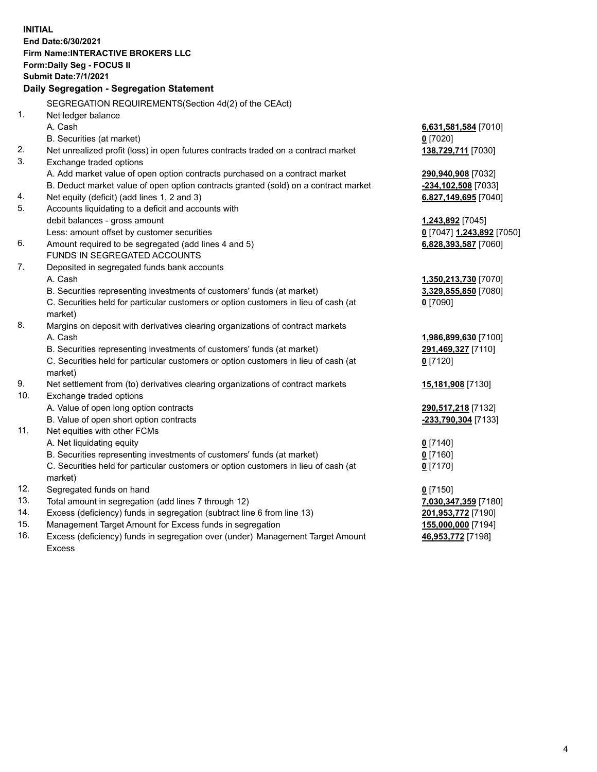**INITIAL End Date:6/30/2021 Firm Name:INTERACTIVE BROKERS LLC Form:Daily Seg - FOCUS II Submit Date:7/1/2021 Daily Segregation - Segregation Statement** SEGREGATION REQUIREMENTS(Section 4d(2) of the CEAct) 1. Net ledger balance A. Cash **6,631,581,584** [7010] B. Securities (at market) **0** [7020] 2. Net unrealized profit (loss) in open futures contracts traded on a contract market **138,729,711** [7030] 3. Exchange traded options A. Add market value of open option contracts purchased on a contract market **290,940,908** [7032] B. Deduct market value of open option contracts granted (sold) on a contract market **-234,102,508** [7033] 4. Net equity (deficit) (add lines 1, 2 and 3) **6,827,149,695** [7040] 5. Accounts liquidating to a deficit and accounts with debit balances - gross amount **1,243,892** [7045] Less: amount offset by customer securities **0** [7047] **1,243,892** [7050] 6. Amount required to be segregated (add lines 4 and 5) **6,828,393,587** [7060] FUNDS IN SEGREGATED ACCOUNTS 7. Deposited in segregated funds bank accounts A. Cash **1,350,213,730** [7070] B. Securities representing investments of customers' funds (at market) **3,329,855,850** [7080] C. Securities held for particular customers or option customers in lieu of cash (at market) **0** [7090] 8. Margins on deposit with derivatives clearing organizations of contract markets A. Cash **1,986,899,630** [7100] B. Securities representing investments of customers' funds (at market) **291,469,327** [7110] C. Securities held for particular customers or option customers in lieu of cash (at market) **0** [7120] 9. Net settlement from (to) derivatives clearing organizations of contract markets **15,181,908** [7130] 10. Exchange traded options A. Value of open long option contracts **290,517,218** [7132] B. Value of open short option contracts **-233,790,304** [7133] 11. Net equities with other FCMs A. Net liquidating equity **0** [7140] B. Securities representing investments of customers' funds (at market) **0** [7160] C. Securities held for particular customers or option customers in lieu of cash (at market) **0** [7170] 12. Segregated funds on hand **0** [7150] 13. Total amount in segregation (add lines 7 through 12) **7,030,347,359** [7180] 14. Excess (deficiency) funds in segregation (subtract line 6 from line 13) **201,953,772** [7190] 15. Management Target Amount for Excess funds in segregation **155,000,000** [7194] 16. Excess (deficiency) funds in segregation over (under) Management Target Amount **46,953,772** [7198]

Excess